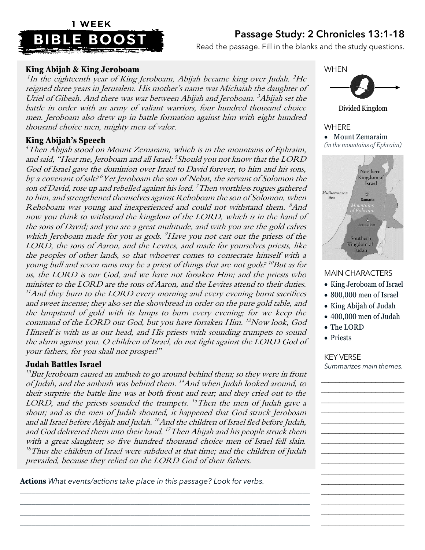## Passage Study: 2 Chronicles 13:1-18



Read the passage. Fill in the blanks and the study questions.

## **King Abijah & King Jeroboam**

 $^1$ In the eighteenth year of King Jeroboam, Abijah became king over Judah.  $^2$ He reigned three years in Jerusalem. His mother's name was Michaiah the daughter of Uriel of Gibeah. And there was war between Abijah and Jeroboam. <sup>3</sup>Abijah set the battle in order with an army of valiant warriors, four hundred thousand choice men. Jeroboam also drew up in battle formation against him with eight hundred thousand choice men, mighty men of valor.

## **King Abijah's Speech**

<sup>4</sup>Then Abijah stood on Mount Zemaraim, which is in the mountains of Ephraim, and said, "Hear me, Jeroboam and all Israel: <sup>5</sup> Should you not know that the LORD God of Israel gave the dominion over Israel to David forever, to him and his sons, by a covenant of salt?<sup>6</sup>Yet Jeroboam the son of Nebat, the servant of Solomon the son of David, rose up and rebelled against his lord.  $^7$  Then worthless rogues gathered to him, and strengthened themselves against Rehoboam the son of Solomon, when Rehoboam was young and inexperienced and could not withstand them. <sup>8</sup>And now you think to withstand the kingdom of the LORD, which is in the hand of the sons of David; and you are a great multitude, and with you are the gold calves which Jeroboam made for you as gods. <sup>9</sup>Have you not cast out the priests of the LORD, the sons of Aaron, and the Levites, and made for yourselves priests, like the peoples of other lands, so that whoever comes to consecrate himself with a young bull and seven rams may be a priest of things that are not gods?<sup>10</sup>But as for us, the LORD is our God, and we have not forsaken Him; and the priests who minister to the LORD are the sons of Aaron, and the Levites attend to their duties.  $11$ And they burn to the LORD every morning and every evening burnt sacrifices and sweet incense; they also set the showbread in order on the pure gold table, and the lampstand of gold with its lamps to burn every evening; for we keep the command of the LORD our God, but you have forsaken Him. <sup>12</sup>Now look, God Himself is with us as our head, and His priests with sounding trumpets to sound the alarm against you. O children of Israel, do not fight against the LORD God of your fathers, for you shall not prosper!"

## **Judah Battles Israel**

 $^{13}$ But Jeroboam caused an ambush to go around behind them; so they were in front of Judah, and the ambush was behind them. <sup>14</sup>And when Judah looked around, to their surprise the battle line was at both front and rear; and they cried out to the LORD, and the priests sounded the trumpets. <sup>15</sup>Then the men of Judah gave a shout; and as the men of Judah shouted, it happened that God struck Jeroboam and all Israel before Abijah and Judah. <sup>16</sup>And the children of Israel fled before Judah, and God delivered them into their hand. <sup>17</sup>Then Abijah and his people struck them with a great slaughter; so five hundred thousand choice men of Israel fell slain.  $18$ Thus the children of Israel were subdued at that time; and the children of Judah prevailed, because they relied on the LORD God of their fathers.

*\_\_\_\_\_\_\_\_\_\_\_\_\_\_\_\_\_\_\_\_\_\_\_\_\_\_\_\_\_\_\_\_\_\_\_\_\_\_\_\_\_\_\_\_\_\_\_\_\_\_\_\_\_\_\_\_\_\_\_\_\_\_\_\_\_\_\_\_\_\_\_\_\_\_\_\_ \_\_\_\_\_\_\_\_\_\_\_\_\_\_\_\_\_\_\_\_\_\_\_\_\_\_\_\_\_\_\_\_\_\_\_\_\_\_\_\_\_\_\_\_\_\_\_\_\_\_\_\_\_\_\_\_\_\_\_\_\_\_\_\_\_\_\_\_\_\_\_\_\_\_\_\_ \_\_\_\_\_\_\_\_\_\_\_\_\_\_\_\_\_\_\_\_\_\_\_\_\_\_\_\_\_\_\_\_\_\_\_\_\_\_\_\_\_\_\_\_\_\_\_\_\_\_\_\_\_\_\_\_\_\_\_\_\_\_\_\_\_\_\_\_\_\_\_\_\_\_\_\_ \_\_\_\_\_\_\_\_\_\_\_\_\_\_\_\_\_\_\_\_\_\_\_\_\_\_\_\_\_\_\_\_\_\_\_\_\_\_\_\_\_\_\_\_\_\_\_\_\_\_\_\_\_\_\_\_\_\_\_\_\_\_\_\_\_\_\_\_\_\_\_\_\_\_\_\_*

**Actions** *What events/actions take place in this passage? Look for verbs.*



Divided Kingdom

WHERE • Mount Zemaraim *(in the mountains of Ephraim)*



#### MAIN CHARACTERS

- King Jeroboam of Israel
- 800,000 men of Israel
- King Abijah of Judah
- 400,000 men of Judah
- The LORD
- Priests

### KEY VERSE

*Summarizes main themes.* \_\_\_\_\_\_\_\_\_\_\_\_\_\_\_\_\_\_\_\_\_\_\_

\_\_\_\_\_\_\_\_\_\_\_\_\_\_\_\_\_\_\_\_\_\_\_ \_\_\_\_\_\_\_\_\_\_\_\_\_\_\_\_\_\_\_\_\_\_\_ \_\_\_\_\_\_\_\_\_\_\_\_\_\_\_\_\_\_\_\_\_\_\_ \_\_\_\_\_\_\_\_\_\_\_\_\_\_\_\_\_\_\_\_\_\_\_ \_\_\_\_\_\_\_\_\_\_\_\_\_\_\_\_\_\_\_\_\_\_\_ \_\_\_\_\_\_\_\_\_\_\_\_\_\_\_\_\_\_\_\_\_\_\_ \_\_\_\_\_\_\_\_\_\_\_\_\_\_\_\_\_\_\_\_\_\_\_ \_\_\_\_\_\_\_\_\_\_\_\_\_\_\_\_\_\_\_\_\_\_\_ \_\_\_\_\_\_\_\_\_\_\_\_\_\_\_\_\_\_\_\_\_\_\_ \_\_\_\_\_\_\_\_\_\_\_\_\_\_\_\_\_\_\_\_\_\_\_ \_\_\_\_\_\_\_\_\_\_\_\_\_\_\_\_\_\_\_\_\_\_\_ \_\_\_\_\_\_\_\_\_\_\_\_\_\_\_\_\_\_\_\_\_\_\_ \_\_\_\_\_\_\_\_\_\_\_\_\_\_\_\_\_\_\_\_\_\_\_ \_\_\_\_\_\_\_\_\_\_\_\_\_\_\_\_\_\_\_\_\_\_\_